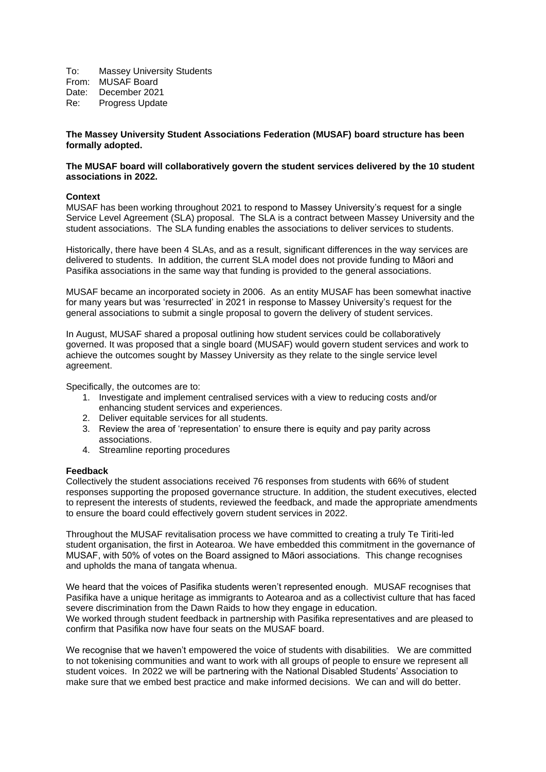To: Massey University Students From: MUSAF Board Date: December 2021 Re: Progress Update

## **The Massey University Student Associations Federation (MUSAF) board structure has been formally adopted.**

## **The MUSAF board will collaboratively govern the student services delivered by the 10 student associations in 2022.**

## **Context**

MUSAF has been working throughout 2021 to respond to Massey University's request for a single Service Level Agreement (SLA) proposal. The SLA is a contract between Massey University and the student associations. The SLA funding enables the associations to deliver services to students.

Historically, there have been 4 SLAs, and as a result, significant differences in the way services are delivered to students. In addition, the current SLA model does not provide funding to Māori and Pasifika associations in the same way that funding is provided to the general associations.

MUSAF became an incorporated society in 2006. As an entity MUSAF has been somewhat inactive for many years but was 'resurrected' in 2021 in response to Massey University's request for the general associations to submit a single proposal to govern the delivery of student services.

In August, MUSAF shared a proposal outlining how student services could be collaboratively governed. It was proposed that a single board (MUSAF) would govern student services and work to achieve the outcomes sought by Massey University as they relate to the single service level agreement.

Specifically, the outcomes are to:

- 1. Investigate and implement centralised services with a view to reducing costs and/or enhancing student services and experiences.
- 2. Deliver equitable services for all students.
- 3. Review the area of 'representation' to ensure there is equity and pay parity across associations.
- 4. Streamline reporting procedures

#### **Feedback**

Collectively the student associations received 76 responses from students with 66% of student responses supporting the proposed governance structure. In addition, the student executives, elected to represent the interests of students, reviewed the feedback, and made the appropriate amendments to ensure the board could effectively govern student services in 2022.

Throughout the MUSAF revitalisation process we have committed to creating a truly Te Tiriti-led student organisation, the first in Aotearoa. We have embedded this commitment in the governance of MUSAF, with 50% of votes on the Board assigned to Māori associations. This change recognises and upholds the mana of tangata whenua.

We heard that the voices of Pasifika students weren't represented enough. MUSAF recognises that Pasifika have a unique heritage as immigrants to Aotearoa and as a collectivist culture that has faced severe discrimination from the Dawn Raids to how they engage in education. We worked through student feedback in partnership with Pasifika representatives and are pleased to confirm that Pasifika now have four seats on the MUSAF board.

We recognise that we haven't empowered the voice of students with disabilities. We are committed to not tokenising communities and want to work with all groups of people to ensure we represent all student voices. In 2022 we will be partnering with the National Disabled Students' Association to make sure that we embed best practice and make informed decisions. We can and will do better.